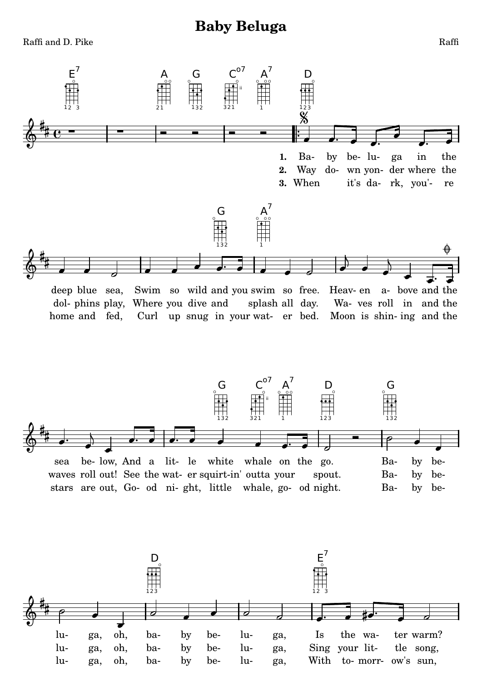## **Baby Beluga**







Raffi